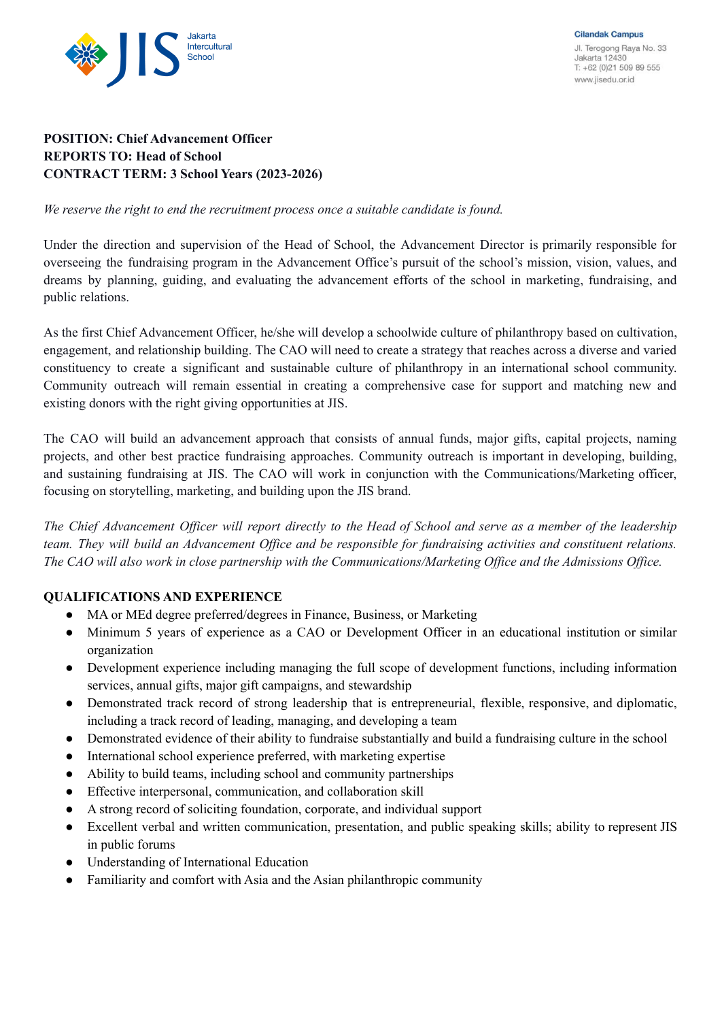

# **POSITION: Chief Advancement Officer REPORTS TO: Head of School CONTRACT TERM: 3 School Years (2023-2026)**

*We reserve the right to end the recruitment process once a suitable candidate is found.*

Under the direction and supervision of the Head of School, the Advancement Director is primarily responsible for overseeing the fundraising program in the Advancement Office's pursuit of the school's mission, vision, values, and dreams by planning, guiding, and evaluating the advancement efforts of the school in marketing, fundraising, and public relations.

As the first Chief Advancement Officer, he/she will develop a schoolwide culture of philanthropy based on cultivation, engagement, and relationship building. The CAO will need to create a strategy that reaches across a diverse and varied constituency to create a significant and sustainable culture of philanthropy in an international school community. Community outreach will remain essential in creating a comprehensive case for support and matching new and existing donors with the right giving opportunities at JIS.

The CAO will build an advancement approach that consists of annual funds, major gifts, capital projects, naming projects, and other best practice fundraising approaches. Community outreach is important in developing, building, and sustaining fundraising at JIS. The CAO will work in conjunction with the Communications/Marketing officer, focusing on storytelling, marketing, and building upon the JIS brand.

The Chief Advancement Officer will report directly to the Head of School and serve as a member of the leadership team. They will build an Advancement Office and be responsible for fundraising activities and constituent relations. The CAO will also work in close partnership with the Communications/Marketing Office and the Admissions Office.

## **QUALIFICATIONS AND EXPERIENCE**

- MA or MEd degree preferred/degrees in Finance, Business, or Marketing
- Minimum 5 years of experience as a CAO or Development Officer in an educational institution or similar organization
- Development experience including managing the full scope of development functions, including information services, annual gifts, major gift campaigns, and stewardship
- Demonstrated track record of strong leadership that is entrepreneurial, flexible, responsive, and diplomatic, including a track record of leading, managing, and developing a team
- Demonstrated evidence of their ability to fundraise substantially and build a fundraising culture in the school
- International school experience preferred, with marketing expertise
- Ability to build teams, including school and community partnerships
- Effective interpersonal, communication, and collaboration skill
- A strong record of soliciting foundation, corporate, and individual support
- Excellent verbal and written communication, presentation, and public speaking skills; ability to represent JIS in public forums
- Understanding of International Education
- Familiarity and comfort with Asia and the Asian philanthropic community